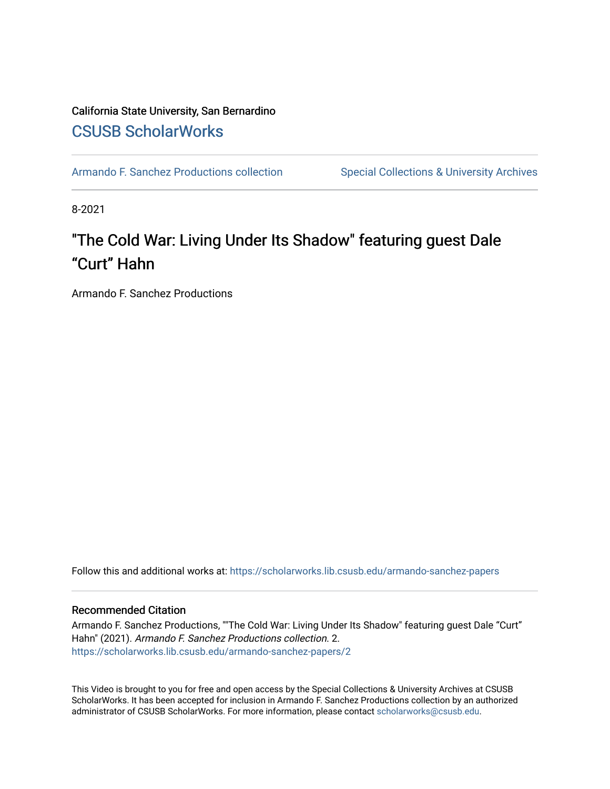#### California State University, San Bernardino [CSUSB ScholarWorks](https://scholarworks.lib.csusb.edu/)

[Armando F. Sanchez Productions collection](https://scholarworks.lib.csusb.edu/armando-sanchez-papers) Special Collections & University Archives

8-2021

# "The Cold War: Living Under Its Shadow" featuring guest Dale "Curt" Hahn

Armando F. Sanchez Productions

Follow this and additional works at: [https://scholarworks.lib.csusb.edu/armando-sanchez-papers](https://scholarworks.lib.csusb.edu/armando-sanchez-papers?utm_source=scholarworks.lib.csusb.edu%2Farmando-sanchez-papers%2F2&utm_medium=PDF&utm_campaign=PDFCoverPages) 

#### Recommended Citation

Armando F. Sanchez Productions, ""The Cold War: Living Under Its Shadow" featuring guest Dale "Curt" Hahn" (2021). Armando F. Sanchez Productions collection. 2. [https://scholarworks.lib.csusb.edu/armando-sanchez-papers/2](https://scholarworks.lib.csusb.edu/armando-sanchez-papers/2?utm_source=scholarworks.lib.csusb.edu%2Farmando-sanchez-papers%2F2&utm_medium=PDF&utm_campaign=PDFCoverPages)

This Video is brought to you for free and open access by the Special Collections & University Archives at CSUSB ScholarWorks. It has been accepted for inclusion in Armando F. Sanchez Productions collection by an authorized administrator of CSUSB ScholarWorks. For more information, please contact [scholarworks@csusb.edu](mailto:scholarworks@csusb.edu).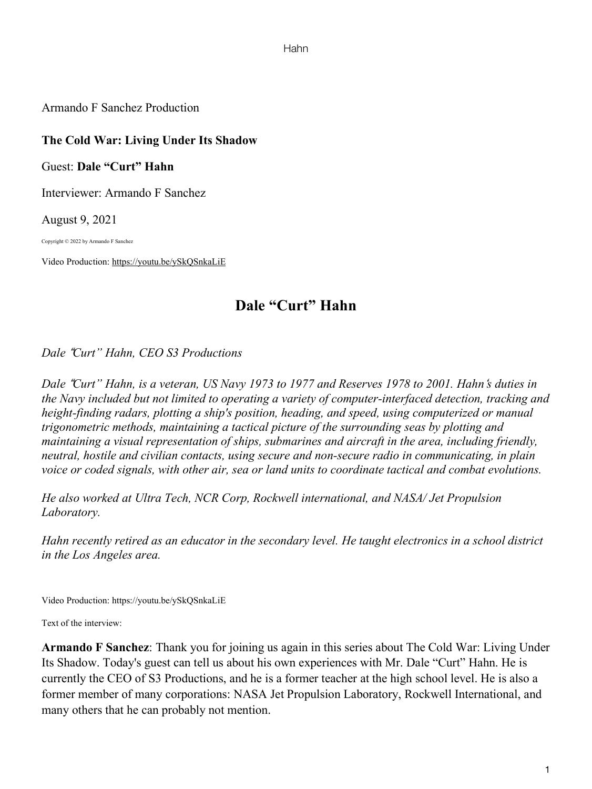Hahn

Armando F Sanchez Production

## **The Cold War: Living Under Its Shadow**

Guest: **Dale "Curt" Hahn**

Interviewer: Armando F Sanchez

August 9, 2021

Copyright © 2022 by Armando F Sanchez

Video Production: https://youtu.be/ySkQSnkaLiE

# **Dale "Curt" Hahn**

*Dale* !*Curt" Hahn, CEO S3 Productions*

Dale "Curt" Hahn, is a veteran, US Navy 1973 to 1977 and Reserves 1978 to 2001. Hahn's duties in *the Navy included but not limited to operating a variety of computer-interfaced detection, tracking and height-finding radars, plotting a ship's position, heading, and speed, using computerized or manual trigonometric methods, maintaining a tactical picture of the surrounding seas by plotting and maintaining a visual representation of ships, submarines and aircraft in the area, including friendly, neutral, hostile and civilian contacts, using secure and non-secure radio in communicating, in plain voice or coded signals, with other air, sea or land units to coordinate tactical and combat evolutions.*

*He also worked at Ultra Tech, NCR Corp, Rockwell international, and NASA/ Jet Propulsion Laboratory.*

*Hahn recently retired as an educator in the secondary level. He taught electronics in a school district in the Los Angeles area.*

Video Production: https://youtu.be/ySkQSnkaLiE

Text of the interview:

**Armando F Sanchez**: Thank you for joining us again in this series about The Cold War: Living Under Its Shadow. Today's guest can tell us about his own experiences with Mr. Dale "Curt" Hahn. He is currently the CEO of S3 Productions, and he is a former teacher at the high school level. He is also a former member of many corporations: NASA Jet Propulsion Laboratory, Rockwell International, and many others that he can probably not mention.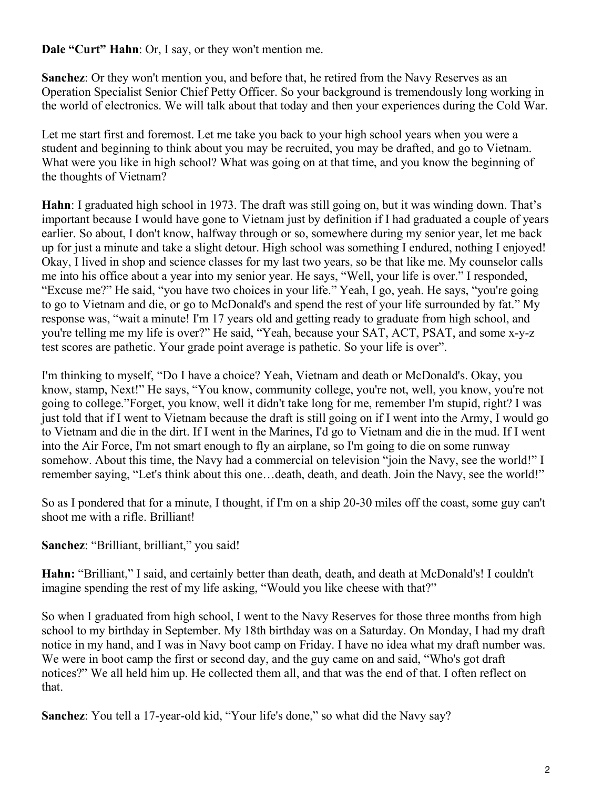**Dale "Curt" Hahn**: Or, I say, or they won't mention me.

**Sanchez**: Or they won't mention you, and before that, he retired from the Navy Reserves as an Operation Specialist Senior Chief Petty Officer. So your background is tremendously long working in the world of electronics. We will talk about that today and then your experiences during the Cold War.

Let me start first and foremost. Let me take you back to your high school years when you were a student and beginning to think about you may be recruited, you may be drafted, and go to Vietnam. What were you like in high school? What was going on at that time, and you know the beginning of the thoughts of Vietnam?

**Hahn**: I graduated high school in 1973. The draft was still going on, but it was winding down. That's important because I would have gone to Vietnam just by definition if I had graduated a couple of years earlier. So about, I don't know, halfway through or so, somewhere during my senior year, let me back up for just a minute and take a slight detour. High school was something I endured, nothing I enjoyed! Okay, I lived in shop and science classes for my last two years, so be that like me. My counselor calls me into his office about a year into my senior year. He says, "Well, your life is over." I responded, "Excuse me?" He said, "you have two choices in your life." Yeah, I go, yeah. He says, "you're going to go to Vietnam and die, or go to McDonald's and spend the rest of your life surrounded by fat." My response was, "wait a minute! I'm 17 years old and getting ready to graduate from high school, and you're telling me my life is over?" He said, "Yeah, because your SAT, ACT, PSAT, and some x-y-z test scores are pathetic. Your grade point average is pathetic. So your life is over".

I'm thinking to myself, "Do I have a choice? Yeah, Vietnam and death or McDonald's. Okay, you know, stamp, Next!" He says, "You know, community college, you're not, well, you know, you're not going to college."Forget, you know, well it didn't take long for me, remember I'm stupid, right? I was just told that if I went to Vietnam because the draft is still going on if I went into the Army, I would go to Vietnam and die in the dirt. If I went in the Marines, I'd go to Vietnam and die in the mud. If I went into the Air Force, I'm not smart enough to fly an airplane, so I'm going to die on some runway somehow. About this time, the Navy had a commercial on television "join the Navy, see the world!" I remember saying, "Let's think about this one…death, death, and death. Join the Navy, see the world!"

So as I pondered that for a minute, I thought, if I'm on a ship 20-30 miles off the coast, some guy can't shoot me with a rifle. Brilliant!

**Sanchez**: "Brilliant, brilliant," you said!

**Hahn:** "Brilliant," I said, and certainly better than death, death, and death at McDonald's! I couldn't imagine spending the rest of my life asking, "Would you like cheese with that?"

So when I graduated from high school, I went to the Navy Reserves for those three months from high school to my birthday in September. My 18th birthday was on a Saturday. On Monday, I had my draft notice in my hand, and I was in Navy boot camp on Friday. I have no idea what my draft number was. We were in boot camp the first or second day, and the guy came on and said, "Who's got draft" notices?" We all held him up. He collected them all, and that was the end of that. I often reflect on that.

**Sanchez**: You tell a 17-year-old kid, "Your life's done," so what did the Navy say?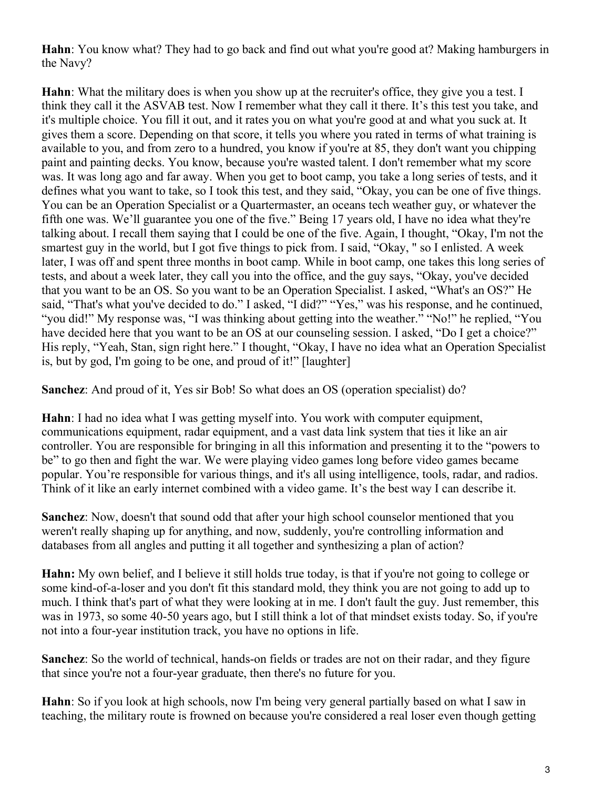**Hahn**: You know what? They had to go back and find out what you're good at? Making hamburgers in the Navy?

**Hahn**: What the military does is when you show up at the recruiter's office, they give you a test. I think they call it the ASVAB test. Now I remember what they call it there. It's this test you take, and it's multiple choice. You fill it out, and it rates you on what you're good at and what you suck at. It gives them a score. Depending on that score, it tells you where you rated in terms of what training is available to you, and from zero to a hundred, you know if you're at 85, they don't want you chipping paint and painting decks. You know, because you're wasted talent. I don't remember what my score was. It was long ago and far away. When you get to boot camp, you take a long series of tests, and it defines what you want to take, so I took this test, and they said, "Okay, you can be one of five things. You can be an Operation Specialist or a Quartermaster, an oceans tech weather guy, or whatever the fifth one was. We'll guarantee you one of the five." Being 17 years old, I have no idea what they're talking about. I recall them saying that I could be one of the five. Again, I thought, "Okay, I'm not the smartest guy in the world, but I got five things to pick from. I said, "Okay, " so I enlisted. A week later, I was off and spent three months in boot camp. While in boot camp, one takes this long series of tests, and about a week later, they call you into the office, and the guy says, "Okay, you've decided that you want to be an OS. So you want to be an Operation Specialist. I asked, "What's an OS?" He said, "That's what you've decided to do." I asked, "I did?" "Yes," was his response, and he continued, "you did!" My response was, "I was thinking about getting into the weather." "No!" he replied, "You have decided here that you want to be an OS at our counseling session. I asked, "Do I get a choice?" His reply, "Yeah, Stan, sign right here." I thought, "Okay, I have no idea what an Operation Specialist is, but by god, I'm going to be one, and proud of it!" [laughter]

**Sanchez**: And proud of it, Yes sir Bob! So what does an OS (operation specialist) do?

**Hahn**: I had no idea what I was getting myself into. You work with computer equipment, communications equipment, radar equipment, and a vast data link system that ties it like an air controller. You are responsible for bringing in all this information and presenting it to the "powers to be" to go then and fight the war. We were playing video games long before video games became popular. You're responsible for various things, and it's all using intelligence, tools, radar, and radios. Think of it like an early internet combined with a video game. It's the best way I can describe it.

**Sanchez**: Now, doesn't that sound odd that after your high school counselor mentioned that you weren't really shaping up for anything, and now, suddenly, you're controlling information and databases from all angles and putting it all together and synthesizing a plan of action?

**Hahn:** My own belief, and I believe it still holds true today, is that if you're not going to college or some kind-of-a-loser and you don't fit this standard mold, they think you are not going to add up to much. I think that's part of what they were looking at in me. I don't fault the guy. Just remember, this was in 1973, so some 40-50 years ago, but I still think a lot of that mindset exists today. So, if you're not into a four-year institution track, you have no options in life.

**Sanchez**: So the world of technical, hands-on fields or trades are not on their radar, and they figure that since you're not a four-year graduate, then there's no future for you.

**Hahn**: So if you look at high schools, now I'm being very general partially based on what I saw in teaching, the military route is frowned on because you're considered a real loser even though getting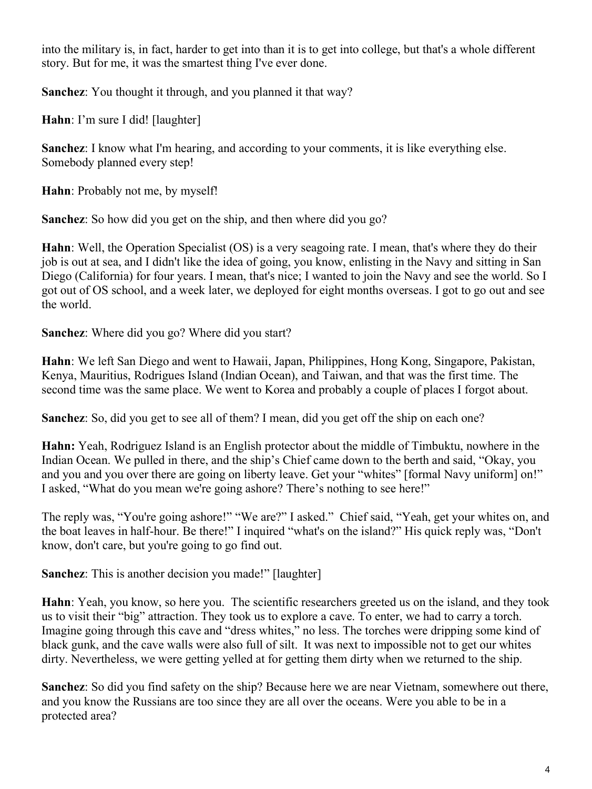into the military is, in fact, harder to get into than it is to get into college, but that's a whole different story. But for me, it was the smartest thing I've ever done.

**Sanchez**: You thought it through, and you planned it that way?

**Hahn**: I'm sure I did! [laughter]

**Sanchez**: I know what I'm hearing, and according to your comments, it is like everything else. Somebody planned every step!

**Hahn**: Probably not me, by myself!

**Sanchez**: So how did you get on the ship, and then where did you go?

**Hahn**: Well, the Operation Specialist (OS) is a very seagoing rate. I mean, that's where they do their job is out at sea, and I didn't like the idea of going, you know, enlisting in the Navy and sitting in San Diego (California) for four years. I mean, that's nice; I wanted to join the Navy and see the world. So I got out of OS school, and a week later, we deployed for eight months overseas. I got to go out and see the world.

**Sanchez**: Where did you go? Where did you start?

**Hahn**: We left San Diego and went to Hawaii, Japan, Philippines, Hong Kong, Singapore, Pakistan, Kenya, Mauritius, Rodrigues Island (Indian Ocean), and Taiwan, and that was the first time. The second time was the same place. We went to Korea and probably a couple of places I forgot about.

**Sanchez**: So, did you get to see all of them? I mean, did you get off the ship on each one?

**Hahn:** Yeah, Rodriguez Island is an English protector about the middle of Timbuktu, nowhere in the Indian Ocean. We pulled in there, and the ship's Chief came down to the berth and said, "Okay, you and you and you over there are going on liberty leave. Get your "whites" [formal Navy uniform] on!" I asked, "What do you mean we're going ashore? There's nothing to see here!"

The reply was, "You're going ashore!" "We are?" I asked." Chief said, "Yeah, get your whites on, and the boat leaves in half-hour. Be there!" I inquired "what's on the island?" His quick reply was, "Don't know, don't care, but you're going to go find out.

**Sanchez:** This is another decision you made!" [laughter]

**Hahn**: Yeah, you know, so here you. The scientific researchers greeted us on the island, and they took us to visit their "big" attraction. They took us to explore a cave. To enter, we had to carry a torch. Imagine going through this cave and "dress whites," no less. The torches were dripping some kind of black gunk, and the cave walls were also full of silt. It was next to impossible not to get our whites dirty. Nevertheless, we were getting yelled at for getting them dirty when we returned to the ship.

**Sanchez**: So did you find safety on the ship? Because here we are near Vietnam, somewhere out there, and you know the Russians are too since they are all over the oceans. Were you able to be in a protected area?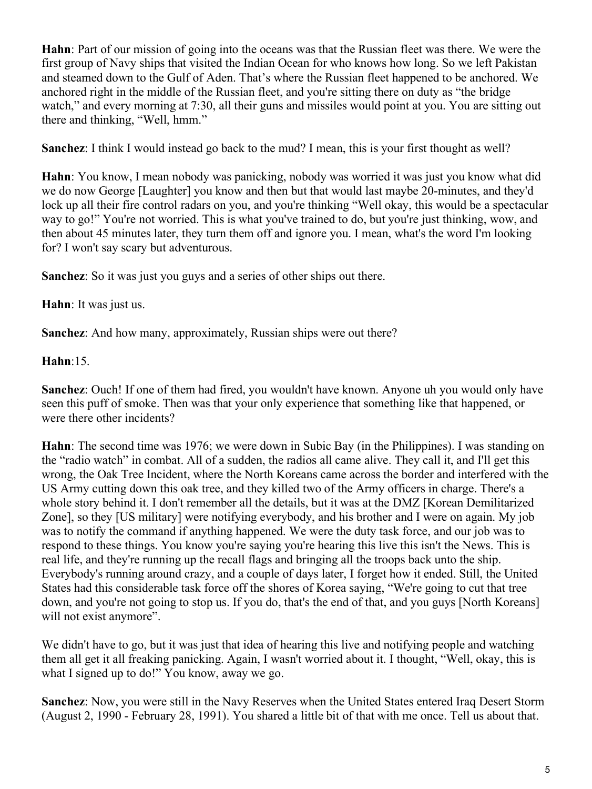**Hahn**: Part of our mission of going into the oceans was that the Russian fleet was there. We were the first group of Navy ships that visited the Indian Ocean for who knows how long. So we left Pakistan and steamed down to the Gulf of Aden. That's where the Russian fleet happened to be anchored. We anchored right in the middle of the Russian fleet, and you're sitting there on duty as "the bridge watch," and every morning at 7:30, all their guns and missiles would point at you. You are sitting out there and thinking, "Well, hmm."

**Sanchez**: I think I would instead go back to the mud? I mean, this is your first thought as well?

**Hahn**: You know, I mean nobody was panicking, nobody was worried it was just you know what did we do now George [Laughter] you know and then but that would last maybe 20-minutes, and they'd lock up all their fire control radars on you, and you're thinking "Well okay, this would be a spectacular way to go!" You're not worried. This is what you've trained to do, but you're just thinking, wow, and then about 45 minutes later, they turn them off and ignore you. I mean, what's the word I'm looking for? I won't say scary but adventurous.

**Sanchez**: So it was just you guys and a series of other ships out there.

**Hahn**: It was just us.

**Sanchez**: And how many, approximately, Russian ships were out there?

**Hahn**:15.

**Sanchez**: Ouch! If one of them had fired, you wouldn't have known. Anyone uh you would only have seen this puff of smoke. Then was that your only experience that something like that happened, or were there other incidents?

**Hahn**: The second time was 1976; we were down in Subic Bay (in the Philippines). I was standing on the "radio watch" in combat. All of a sudden, the radios all came alive. They call it, and I'll get this wrong, the Oak Tree Incident, where the North Koreans came across the border and interfered with the US Army cutting down this oak tree, and they killed two of the Army officers in charge. There's a whole story behind it. I don't remember all the details, but it was at the DMZ [Korean Demilitarized Zone], so they [US military] were notifying everybody, and his brother and I were on again. My job was to notify the command if anything happened. We were the duty task force, and our job was to respond to these things. You know you're saying you're hearing this live this isn't the News. This is real life, and they're running up the recall flags and bringing all the troops back unto the ship. Everybody's running around crazy, and a couple of days later, I forget how it ended. Still, the United States had this considerable task force off the shores of Korea saying, "We're going to cut that tree down, and you're not going to stop us. If you do, that's the end of that, and you guys [North Koreans] will not exist anymore".

We didn't have to go, but it was just that idea of hearing this live and notifying people and watching them all get it all freaking panicking. Again, I wasn't worried about it. I thought, "Well, okay, this is what I signed up to do!" You know, away we go.

**Sanchez**: Now, you were still in the Navy Reserves when the United States entered Iraq Desert Storm (August 2, 1990 - February 28, 1991). You shared a little bit of that with me once. Tell us about that.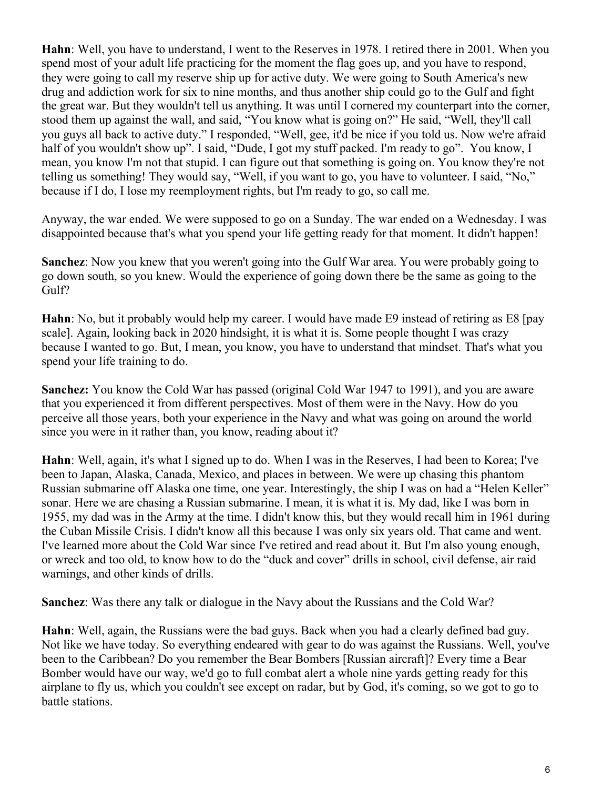**Hahn**: Well, you have to understand, I went to the Reserves in 1978. I retired there in 2001. When you spend most of your adult life practicing for the moment the flag goes up, and you have to respond, they were going to call my reserve ship up for active duty. We were going to South America's new drug and addiction work for six to nine months, and thus another ship could go to the Gulf and fight the great war. But they wouldn't tell us anything. It was until I cornered my counterpart into the corner, stood them up against the wall, and said, "You know what is going on?" He said, "Well, they'll call you guys all back to active duty." I responded, "Well, gee, it'd be nice if you told us. Now we're afraid half of you wouldn't show up". I said, "Dude, I got my stuff packed. I'm ready to go". You know, I mean, you know I'm not that stupid. I can figure out that something is going on. You know they're not telling us something! They would say, "Well, if you want to go, you have to volunteer. I said, "No," because if I do, I lose my reemployment rights, but I'm ready to go, so call me.

Anyway, the war ended. We were supposed to go on a Sunday. The war ended on a Wednesday. I was disappointed because that's what you spend your life getting ready for that moment. It didn't happen!

**Sanchez**: Now you knew that you weren't going into the Gulf War area. You were probably going to go down south, so you knew. Would the experience of going down there be the same as going to the Gulf?

**Hahn**: No, but it probably would help my career. I would have made E9 instead of retiring as E8 [pay scale]. Again, looking back in 2020 hindsight, it is what it is. Some people thought I was crazy because I wanted to go. But, I mean, you know, you have to understand that mindset. That's what you spend your life training to do.

**Sanchez:** You know the Cold War has passed (original Cold War 1947 to 1991), and you are aware that you experienced it from different perspectives. Most of them were in the Navy. How do you perceive all those years, both your experience in the Navy and what was going on around the world since you were in it rather than, you know, reading about it?

**Hahn**: Well, again, it's what I signed up to do. When I was in the Reserves, I had been to Korea; I've been to Japan, Alaska, Canada, Mexico, and places in between. We were up chasing this phantom Russian submarine off Alaska one time, one year. Interestingly, the ship I was on had a "Helen Keller" sonar. Here we are chasing a Russian submarine. I mean, it is what it is. My dad, like I was born in 1955, my dad was in the Army at the time. I didn't know this, but they would recall him in 1961 during the Cuban Missile Crisis. I didn't know all this because I was only six years old. That came and went. I've learned more about the Cold War since I've retired and read about it. But I'm also young enough, or wreck and too old, to know how to do the "duck and cover" drills in school, civil defense, air raid warnings, and other kinds of drills.

**Sanchez**: Was there any talk or dialogue in the Navy about the Russians and the Cold War?

**Hahn**: Well, again, the Russians were the bad guys. Back when you had a clearly defined bad guy. Not like we have today. So everything endeared with gear to do was against the Russians. Well, you've been to the Caribbean? Do you remember the Bear Bombers [Russian aircraft]? Every time a Bear Bomber would have our way, we'd go to full combat alert a whole nine yards getting ready for this airplane to fly us, which you couldn't see except on radar, but by God, it's coming, so we got to go to battle stations.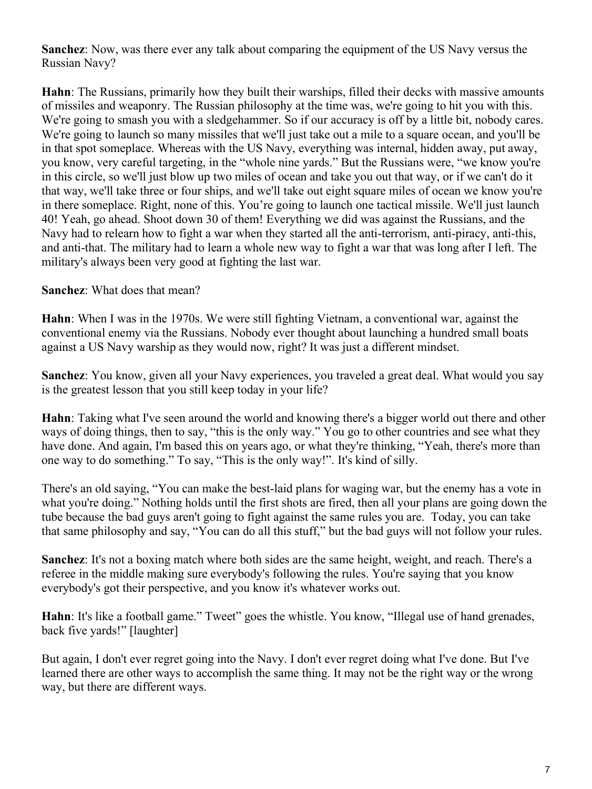**Sanchez**: Now, was there ever any talk about comparing the equipment of the US Navy versus the Russian Navy?

**Hahn**: The Russians, primarily how they built their warships, filled their decks with massive amounts of missiles and weaponry. The Russian philosophy at the time was, we're going to hit you with this. We're going to smash you with a sledgehammer. So if our accuracy is off by a little bit, nobody cares. We're going to launch so many missiles that we'll just take out a mile to a square ocean, and you'll be in that spot someplace. Whereas with the US Navy, everything was internal, hidden away, put away, you know, very careful targeting, in the "whole nine yards." But the Russians were, "we know you're in this circle, so we'll just blow up two miles of ocean and take you out that way, or if we can't do it that way, we'll take three or four ships, and we'll take out eight square miles of ocean we know you're in there someplace. Right, none of this. You're going to launch one tactical missile. We'll just launch 40! Yeah, go ahead. Shoot down 30 of them! Everything we did was against the Russians, and the Navy had to relearn how to fight a war when they started all the anti-terrorism, anti-piracy, anti-this, and anti-that. The military had to learn a whole new way to fight a war that was long after I left. The military's always been very good at fighting the last war.

### **Sanchez**: What does that mean?

**Hahn**: When I was in the 1970s. We were still fighting Vietnam, a conventional war, against the conventional enemy via the Russians. Nobody ever thought about launching a hundred small boats against a US Navy warship as they would now, right? It was just a different mindset.

**Sanchez**: You know, given all your Navy experiences, you traveled a great deal. What would you say is the greatest lesson that you still keep today in your life?

**Hahn**: Taking what I've seen around the world and knowing there's a bigger world out there and other ways of doing things, then to say, "this is the only way." You go to other countries and see what they have done. And again, I'm based this on years ago, or what they're thinking, "Yeah, there's more than one way to do something." To say, "This is the only way!". It's kind of silly.

There's an old saying, "You can make the best-laid plans for waging war, but the enemy has a vote in what you're doing." Nothing holds until the first shots are fired, then all your plans are going down the tube because the bad guys aren't going to fight against the same rules you are. Today, you can take that same philosophy and say, "You can do all this stuff," but the bad guys will not follow your rules.

**Sanchez**: It's not a boxing match where both sides are the same height, weight, and reach. There's a referee in the middle making sure everybody's following the rules. You're saying that you know everybody's got their perspective, and you know it's whatever works out.

**Hahn**: It's like a football game." Tweet" goes the whistle. You know, "Illegal use of hand grenades, back five yards!" [laughter]

But again, I don't ever regret going into the Navy. I don't ever regret doing what I've done. But I've learned there are other ways to accomplish the same thing. It may not be the right way or the wrong way, but there are different ways.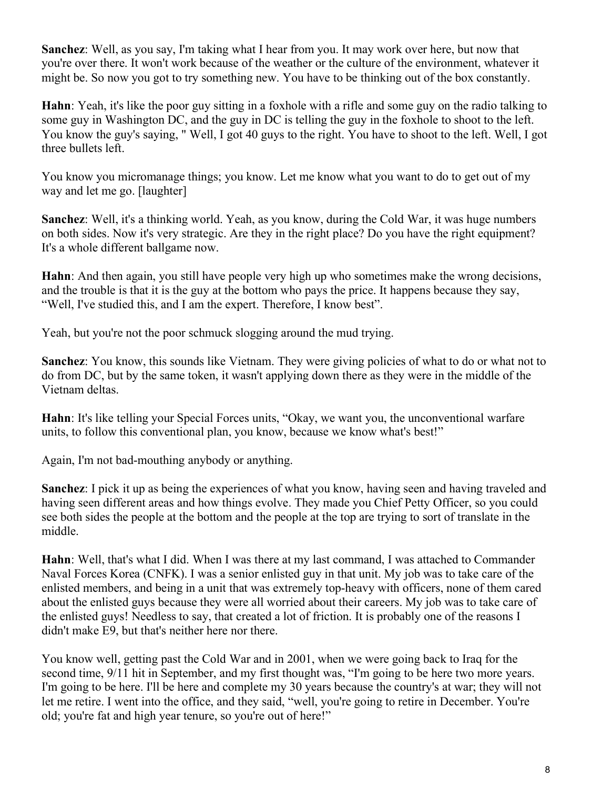**Sanchez**: Well, as you say, I'm taking what I hear from you. It may work over here, but now that you're over there. It won't work because of the weather or the culture of the environment, whatever it might be. So now you got to try something new. You have to be thinking out of the box constantly.

**Hahn**: Yeah, it's like the poor guy sitting in a foxhole with a rifle and some guy on the radio talking to some guy in Washington DC, and the guy in DC is telling the guy in the foxhole to shoot to the left. You know the guy's saying, " Well, I got 40 guys to the right. You have to shoot to the left. Well, I got three bullets left.

You know you micromanage things; you know. Let me know what you want to do to get out of my way and let me go. [laughter]

**Sanchez**: Well, it's a thinking world. Yeah, as you know, during the Cold War, it was huge numbers on both sides. Now it's very strategic. Are they in the right place? Do you have the right equipment? It's a whole different ballgame now.

**Hahn**: And then again, you still have people very high up who sometimes make the wrong decisions, and the trouble is that it is the guy at the bottom who pays the price. It happens because they say, "Well, I've studied this, and I am the expert. Therefore, I know best".

Yeah, but you're not the poor schmuck slogging around the mud trying.

**Sanchez**: You know, this sounds like Vietnam. They were giving policies of what to do or what not to do from DC, but by the same token, it wasn't applying down there as they were in the middle of the Vietnam deltas.

**Hahn**: It's like telling your Special Forces units, "Okay, we want you, the unconventional warfare units, to follow this conventional plan, you know, because we know what's best!"

Again, I'm not bad-mouthing anybody or anything.

**Sanchez**: I pick it up as being the experiences of what you know, having seen and having traveled and having seen different areas and how things evolve. They made you Chief Petty Officer, so you could see both sides the people at the bottom and the people at the top are trying to sort of translate in the middle.

**Hahn**: Well, that's what I did. When I was there at my last command, I was attached to Commander Naval Forces Korea (CNFK). I was a senior enlisted guy in that unit. My job was to take care of the enlisted members, and being in a unit that was extremely top-heavy with officers, none of them cared about the enlisted guys because they were all worried about their careers. My job was to take care of the enlisted guys! Needless to say, that created a lot of friction. It is probably one of the reasons I didn't make E9, but that's neither here nor there.

You know well, getting past the Cold War and in 2001, when we were going back to Iraq for the second time, 9/11 hit in September, and my first thought was, "I'm going to be here two more years. I'm going to be here. I'll be here and complete my 30 years because the country's at war; they will not let me retire. I went into the office, and they said, "well, you're going to retire in December. You're old; you're fat and high year tenure, so you're out of here!"